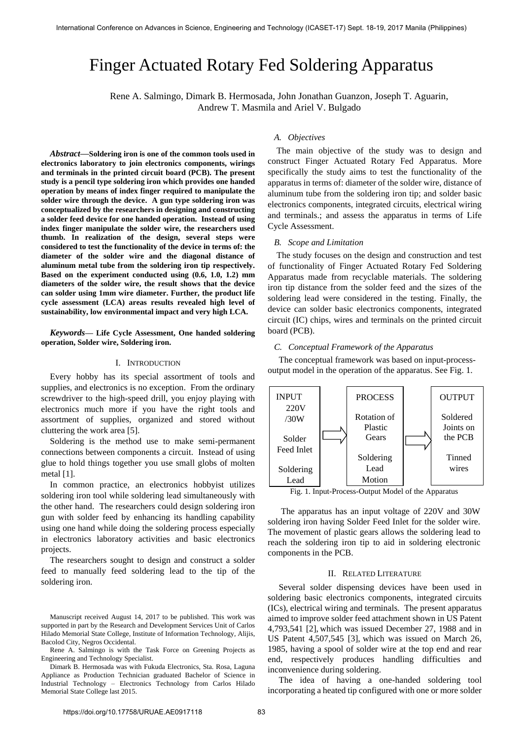# Finger Actuated Rotary Fed Soldering Apparatus

Rene A. Salmingo, Dimark B. Hermosada, John Jonathan Guanzon, Joseph T. Aguarin, Andrew T. Masmila and Ariel V. Bulgado

*Abstract***—Soldering iron is one of the common tools used in electronics laboratory to join electronics components, wirings and terminals in the printed circuit board (PCB). The present study is a pencil type soldering iron which provides one handed operation by means of index finger required to manipulate the solder wire through the device. A gun type soldering iron was conceptualized by the researchers in designing and constructing a solder feed device for one handed operation. Instead of using index finger manipulate the solder wire, the researchers used thumb. In realization of the design, several steps were considered to test the functionality of the device in terms of: the diameter of the solder wire and the diagonal distance of aluminum metal tube from the soldering iron tip respectively. Based on the experiment conducted using (0.6, 1.0, 1.2) mm diameters of the solder wire, the result shows that the device can solder using 1mm wire diameter. Further, the product life cycle assessment (LCA) areas results revealed high level of sustainability, low environmental impact and very high LCA.**

*Keywords***— Life Cycle Assessment, One handed soldering operation, Solder wire, Soldering iron.**

# I. INTRODUCTION

Every hobby has its special assortment of tools and supplies, and electronics is no exception. From the ordinary screwdriver to the high-speed drill, you enjoy playing with electronics much more if you have the right tools and assortment of supplies, organized and stored without cluttering the work area [5].

Soldering is the method use to make semi-permanent connections between components a circuit. Instead of using glue to hold things together you use small globs of molten metal [1].

In common practice, an electronics hobbyist utilizes soldering iron tool while soldering lead simultaneously with the other hand. The researchers could design soldering iron gun with solder feed by enhancing its handling capability using one hand while doing the soldering process especially in electronics laboratory activities and basic electronics projects.

The researchers sought to design and construct a solder feed to manually feed soldering lead to the tip of the soldering iron.

## *A. Objectives*

The main objective of the study was to design and construct Finger Actuated Rotary Fed Apparatus. More specifically the study aims to test the functionality of the apparatus in terms of: diameter of the solder wire, distance of aluminum tube from the soldering iron tip; and solder basic electronics components, integrated circuits, electrical wiring and terminals.; and assess the apparatus in terms of Life Cycle Assessment.

## *B. Scope and Limitation*

The study focuses on the design and construction and test of functionality of Finger Actuated Rotary Fed Soldering Apparatus made from recyclable materials. The soldering iron tip distance from the solder feed and the sizes of the soldering lead were considered in the testing. Finally, the device can solder basic electronics components, integrated circuit (IC) chips, wires and terminals on the printed circuit board (PCB).

#### *C. Conceptual Framework of the Apparatus*

 The conceptual framework was based on input-processoutput model in the operation of the apparatus. See Fig. 1.



Fig. 1. Input-Process-Output Model of the Apparatus

 The apparatus has an input voltage of 220V and 30W soldering iron having Solder Feed Inlet for the solder wire. The movement of plastic gears allows the soldering lead to reach the soldering iron tip to aid in soldering electronic components in the PCB.

#### II. RELATED LITERATURE

 Several solder dispensing devices have been used in soldering basic electronics components, integrated circuits (ICs), electrical wiring and terminals. The present apparatus aimed to improve solder feed attachment shown in US Patent 4,793,541 [2], which was issued December 27, 1988 and in US Patent 4,507,545 [3], which was issued on March 26, 1985, having a spool of solder wire at the top end and rear end, respectively produces handling difficulties and inconvenience during soldering.

 The idea of having a one-handed soldering tool incorporating a heated tip configured with one or more solder

Manuscript received August 14, 2017 to be published. This work was supported in part by the Research and Development Services Unit of Carlos Hilado Memorial State College, Institute of Information Technology, Alijis, Bacolod City, Negros Occidental.

Rene A. Salmingo is with the Task Force on Greening Projects as Engineering and Technology Specialist.

Dimark B. Hermosada was with Fukuda Electronics, Sta. Rosa, Laguna Appliance as Production Technician graduated Bachelor of Science in Industrial Technology – Electronics Technology from Carlos Hilado Memorial State College last 2015.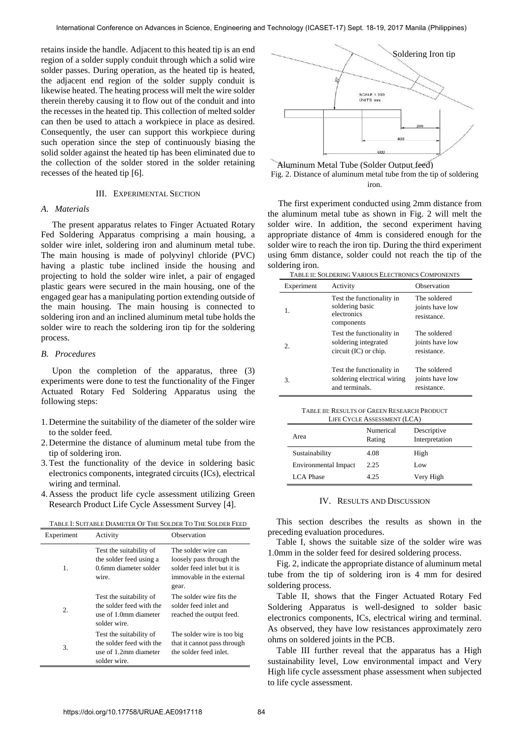retains inside the handle. Adjacent to this heated tip is an end region of a solder supply conduit through which a solid wire solder passes. During operation, as the heated tip is heated, the adjacent end region of the solder supply conduit is likewise heated. The heating process will melt the wire solder therein thereby causing it to flow out of the conduit and into the recesses in the heated tip. This collection of melted solder can then be used to attach a workpiece in place as desired. Consequently, the user can support this workpiece during such operation since the step of continuously biasing the solid solder against the heated tip has been eliminated due to the collection of the solder stored in the solder retaining recesses of the heated tip [6].

#### III. EXPERIMENTAL SECTION

## *A. Materials*

 The present apparatus relates to Finger Actuated Rotary Fed Soldering Apparatus comprising a main housing, a solder wire inlet, soldering iron and aluminum metal tube. The main housing is made of polyvinyl chloride (PVC) having a plastic tube inclined inside the housing and projecting to hold the solder wire inlet, a pair of engaged plastic gears were secured in the main housing, one of the engaged gear has a manipulating portion extending outside of the main housing. The main housing is connected to soldering iron and an inclined aluminum metal tube holds the solder wire to reach the soldering iron tip for the soldering process.

#### *B. Procedures*

 Upon the completion of the apparatus, three (3) experiments were done to test the functionality of the Finger Actuated Rotary Fed Soldering Apparatus using the following steps:

- 1. Determine the suitability of the diameter of the solder wire to the solder feed.
- 2. Determine the distance of aluminum metal tube from the tip of soldering iron.
- 3.Test the functionality of the device in soldering basic electronics components, integrated circuits (ICs), electrical wiring and terminal.
- 4. Assess the product life cycle assessment utilizing Green Research Product Life Cycle Assessment Survey [4].

| TABLE I: SUITABLE DIAMETER OF THE SOLDER TO THE SOLDER FEED |
|-------------------------------------------------------------|
|                                                             |

| Experiment | Activity                                                                                     | Observation                                                                                                          |
|------------|----------------------------------------------------------------------------------------------|----------------------------------------------------------------------------------------------------------------------|
| 1.         | Test the suitability of<br>the solder feed using a<br>0.6mm diameter solder<br>wire.         | The solder wire can<br>loosely pass through the<br>solder feed inlet but it is<br>immovable in the external<br>gear. |
| 2.         | Test the suitability of<br>the solder feed with the<br>use of 1.0mm diameter<br>solder wire. | The solder wire fits the<br>solder feed inlet and<br>reached the output feed.                                        |
| 3.         | Test the suitability of<br>the solder feed with the<br>use of 1.2mm diameter<br>solder wire. | The solder wire is too big<br>that it cannot pass through<br>the solder feed inlet.                                  |



Fig. 2. Distance of aluminum metal tube from the tip of soldering iron. Aluminum Metal Tube (Solder Output feed)

 The first experiment conducted using 2mm distance from the aluminum metal tube as shown in Fig. 2 will melt the solder wire. In addition, the second experiment having appropriate distance of 4mm is considered enough for the solder wire to reach the iron tip. During the third experiment using 6mm distance, solder could not reach the tip of the soldering iron.

TABLE II: SOLDERING VARIOUS ELECTRONICS COMPONENTS

| Experiment | Activity                                                                     | Observation                                    |
|------------|------------------------------------------------------------------------------|------------------------------------------------|
| 1.         | Test the functionality in<br>soldering basic<br>electronics<br>components    | The soldered<br>joints have low<br>resistance. |
| 2.         | Test the functionality in<br>soldering integrated<br>circuit $(IC)$ or chip. | The soldered<br>joints have low<br>resistance. |
| 3.         | Test the functionality in<br>soldering electrical wiring<br>and terminals.   | The soldered<br>joints have low<br>resistance. |

| TABLE III: RESULTS OF GREEN RESEARCH PRODUCT |
|----------------------------------------------|
| LIFE CYCLE ASSESSMENT (LCA)                  |

| LIFE CTCLE ASSESSMENT (LCA) |                     |                               |  |
|-----------------------------|---------------------|-------------------------------|--|
| Area                        | Numerical<br>Rating | Descriptive<br>Interpretation |  |
| Sustainability              | 4.08                | High                          |  |
| Environmental Impact        | 2.25                | Low                           |  |
| LCA Phase                   | 4.25                | Very High                     |  |

## IV. RESULTS AND DISCUSSION

This section describes the results as shown in the preceding evaluation procedures.

Table I, shows the suitable size of the solder wire was 1.0mm in the solder feed for desired soldering process.

Fig. 2, indicate the appropriate distance of aluminum metal tube from the tip of soldering iron is 4 mm for desired soldering process.

Table II, shows that the Finger Actuated Rotary Fed Soldering Apparatus is well-designed to solder basic electronics components, ICs, electrical wiring and terminal. As observed, they have low resistances approximately zero ohms on soldered joints in the PCB.

Table III further reveal that the apparatus has a High sustainability level, Low environmental impact and Very High life cycle assessment phase assessment when subjected to life cycle assessment.